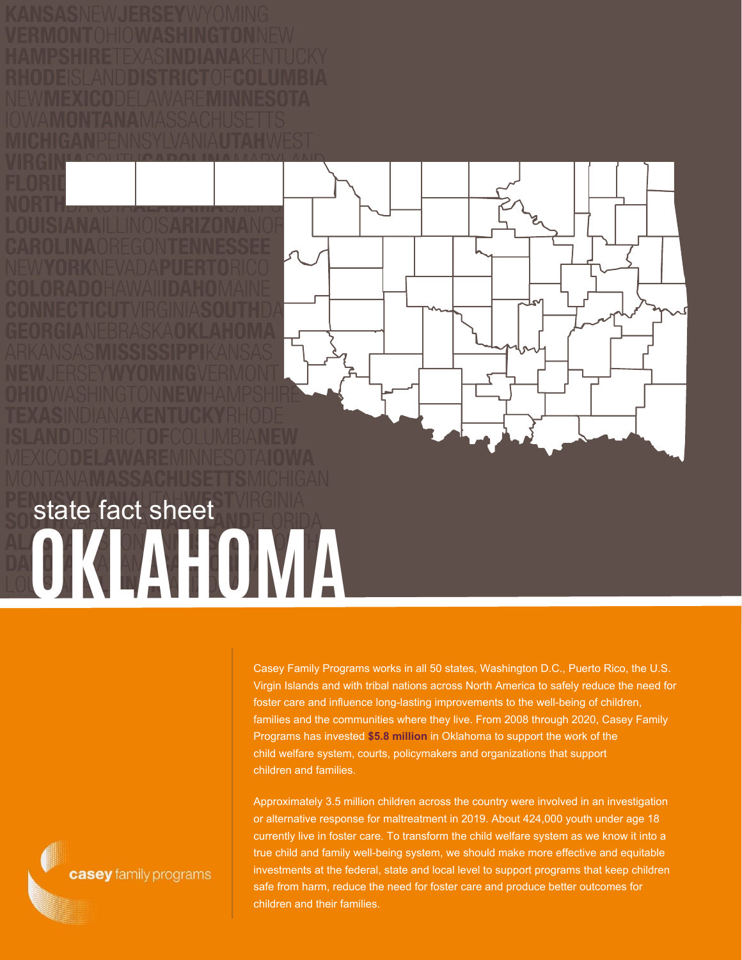## **OKLAHOMA** state fact sheet

Casey Family Programs works in all 50 states, Washington D.C., Puerto Rico, the U.S. Virgin Islands and with tribal nations across North America to safely reduce the need for foster care and influence long-lasting improvements to the well-being of children, families and the communities where they live. From 2008 through 2020, Casey Family Programs has invested **\$5.8 million** in Oklahoma to support the work of the child welfare system, courts, policymakers and organizations that support children and families.

Approximately 3.5 million children across the country were involved in an investigation or alternative response for maltreatment in 2019. About 424,000 youth under age 18 currently live in foster care. To transform the child welfare system as we know it into a true child and family well-being system, we should make more effective and equitable investments at the federal, state and local level to support programs that keep children safe from harm, reduce the need for foster care and produce better outcomes for children and their families.

casey family programs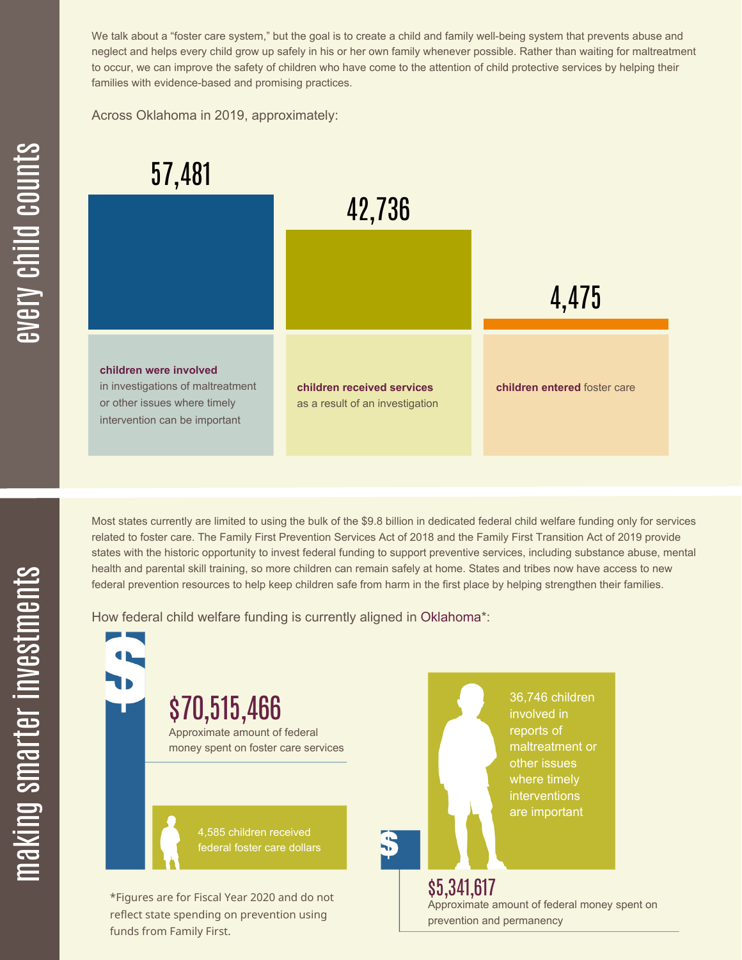We talk about a "foster care system," but the goal is to create a child and family well-being system that prevents abuse and neglect and helps every child grow up safely in his or her own family whenever possible. Rather than waiting for maltreatment to occur, we can improve the safety of children who have come to the attention of child protective services by helping their families with evidence-based and promising practices.

Across Oklahoma in 2019, approximately:



Most states currently are limited to using the bulk of the \$9.8 billion in dedicated federal child welfare funding only for services related to foster care. The Family First Prevention Services Act of 2018 and the Family First Transition Act of 2019 provide states with the historic opportunity to invest federal funding to support preventive services, including substance abuse, mental health and parental skill training, so more children can remain safely at home. States and tribes now have access to new federal prevention resources to help keep children safe from harm in the first place by helping strengthen their families.

How federal child welfare funding is currently aligned in Oklahoma\*:

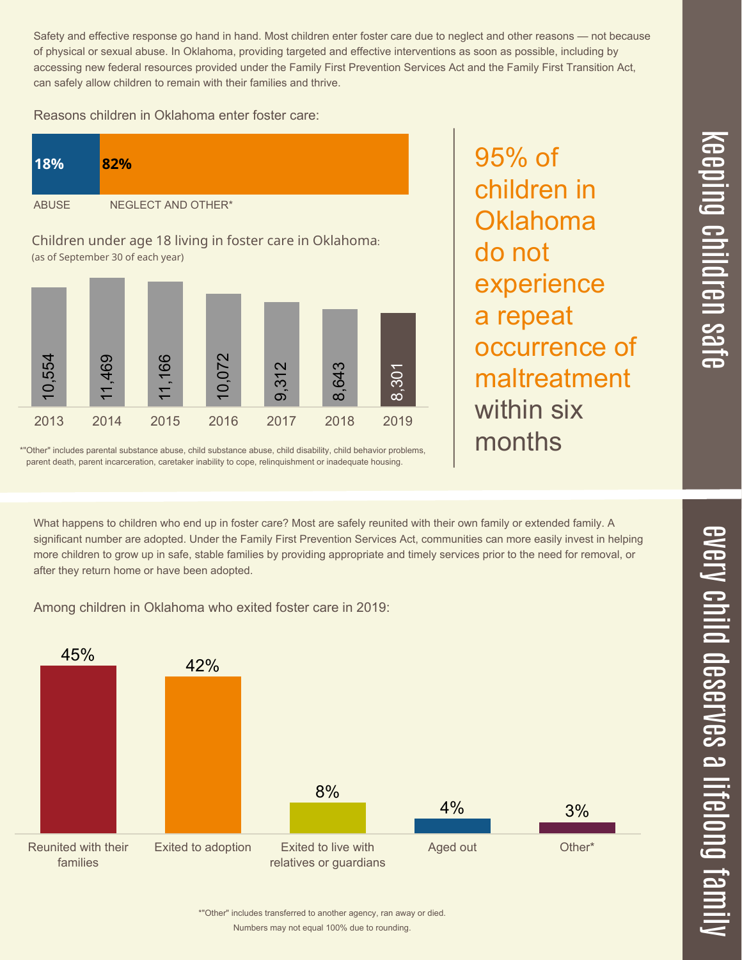Safety and effective response go hand in hand. Most children enter foster care due to neglect and other reasons — not because of physical or sexual abuse. In Oklahoma, providing targeted and effective interventions as soon as possible, including by accessing new federal resources provided under the Family First Prevention Services Act and the Family First Transition Act, can safely allow children to remain with their families and thrive.

Reasons children in Oklahoma enter foster care:

| 18%          | 82%                |
|--------------|--------------------|
| <b>ABUSE</b> | NEGLECT AND OTHER* |

Children under age 18 living in foster care in Oklahoma: (as of September 30 of each year)



\*"Other" includes parental substance abuse, child substance abuse, child disability, child behavior problems, parent death, parent incarceration, caretaker inability to cope, relinquishment or inadequate housing.

95% of children in **Oklahoma** do not experience a repeat occurrence of maltreatment within six months

What happens to children who end up in foster care? Most are safely reunited with their own family or extended family. A significant number are adopted. Under the Family First Prevention Services Act, communities can more easily invest in helping more children to grow up in safe, stable families by providing appropriate and timely services prior to the need for removal, or after they return home or have been adopted.

Among children in Oklahoma who exited foster care in 2019:



 $\overline{\mathbf{C}}$  $\leq$  $\overline{\mathbf{C}}$